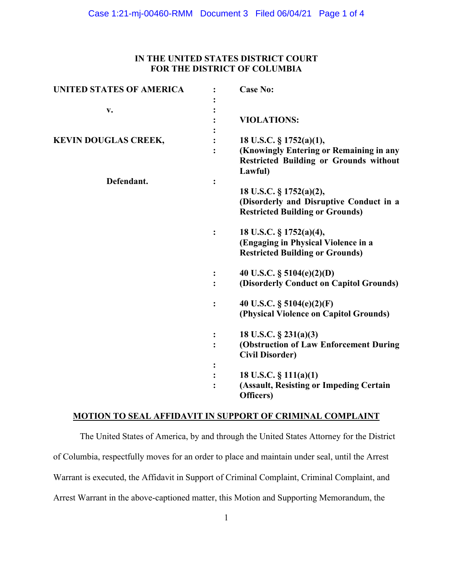### **IN THE UNITED STATES DISTRICT COURT FOR THE DISTRICT OF COLUMBIA**

| <b>UNITED STATES OF AMERICA</b> |                | <b>Case No:</b>                                                                                              |
|---------------------------------|----------------|--------------------------------------------------------------------------------------------------------------|
| v.                              |                |                                                                                                              |
|                                 |                | <b>VIOLATIONS:</b>                                                                                           |
|                                 |                |                                                                                                              |
| <b>KEVIN DOUGLAS CREEK,</b>     |                | 18 U.S.C. § 1752(a)(1),                                                                                      |
|                                 |                | (Knowingly Entering or Remaining in any<br><b>Restricted Building or Grounds without</b><br>Lawful)          |
| Defendant.                      | :              |                                                                                                              |
|                                 |                | 18 U.S.C. § 1752(a)(2),<br>(Disorderly and Disruptive Conduct in a<br><b>Restricted Building or Grounds)</b> |
|                                 |                | 18 U.S.C. § 1752(a)(4),<br>(Engaging in Physical Violence in a<br><b>Restricted Building or Grounds)</b>     |
|                                 |                | 40 U.S.C. § 5104(e)(2)(D)                                                                                    |
|                                 |                | (Disorderly Conduct on Capitol Grounds)                                                                      |
|                                 |                | 40 U.S.C. § 5104(e)(2)(F)<br>(Physical Violence on Capitol Grounds)                                          |
|                                 |                | 18 U.S.C. $\S$ 231(a)(3)                                                                                     |
|                                 | $\ddot{\cdot}$ | (Obstruction of Law Enforcement During<br><b>Civil Disorder)</b>                                             |
|                                 |                |                                                                                                              |
|                                 |                | 18 U.S.C. $\S$ 111(a)(1)                                                                                     |
|                                 |                | (Assault, Resisting or Impeding Certain<br>Officers)                                                         |

# **MOTION TO SEAL AFFIDAVIT IN SUPPORT OF CRIMINAL COMPLAINT**

The United States of America, by and through the United States Attorney for the District of Columbia, respectfully moves for an order to place and maintain under seal, until the Arrest Warrant is executed, the Affidavit in Support of Criminal Complaint, Criminal Complaint, and Arrest Warrant in the above-captioned matter, this Motion and Supporting Memorandum, the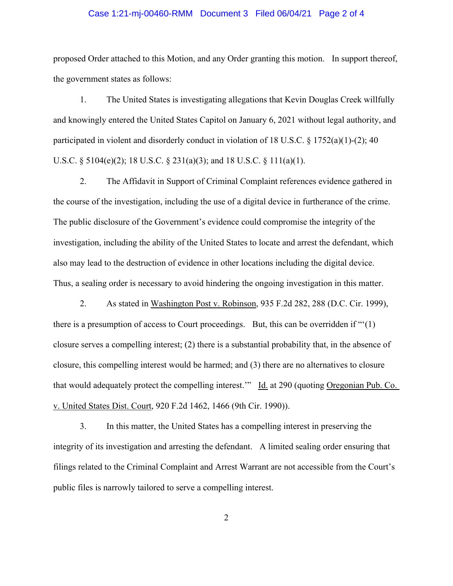#### Case 1:21-mj-00460-RMM Document 3 Filed 06/04/21 Page 2 of 4

proposed Order attached to this Motion, and any Order granting this motion. In support thereof, the government states as follows:

1. The United States is investigating allegations that Kevin Douglas Creek willfully and knowingly entered the United States Capitol on January 6, 2021 without legal authority, and participated in violent and disorderly conduct in violation of 18 U.S.C.  $\S$  1752(a)(1)-(2); 40 U.S.C. § 5104(e)(2); 18 U.S.C. § 231(a)(3); and 18 U.S.C. § 111(a)(1).

2. The Affidavit in Support of Criminal Complaint references evidence gathered in the course of the investigation, including the use of a digital device in furtherance of the crime. The public disclosure of the Government's evidence could compromise the integrity of the investigation, including the ability of the United States to locate and arrest the defendant, which also may lead to the destruction of evidence in other locations including the digital device. Thus, a sealing order is necessary to avoid hindering the ongoing investigation in this matter.

2. As stated in Washington Post v. Robinson, 935 F.2d 282, 288 (D.C. Cir. 1999), there is a presumption of access to Court proceedings. But, this can be overridden if "'(1) closure serves a compelling interest; (2) there is a substantial probability that, in the absence of closure, this compelling interest would be harmed; and (3) there are no alternatives to closure that would adequately protect the compelling interest." Id. at 290 (quoting Oregonian Pub. Co. v. United States Dist. Court, 920 F.2d 1462, 1466 (9th Cir. 1990)).

3. In this matter, the United States has a compelling interest in preserving the integrity of its investigation and arresting the defendant. A limited sealing order ensuring that filings related to the Criminal Complaint and Arrest Warrant are not accessible from the Court's public files is narrowly tailored to serve a compelling interest.

2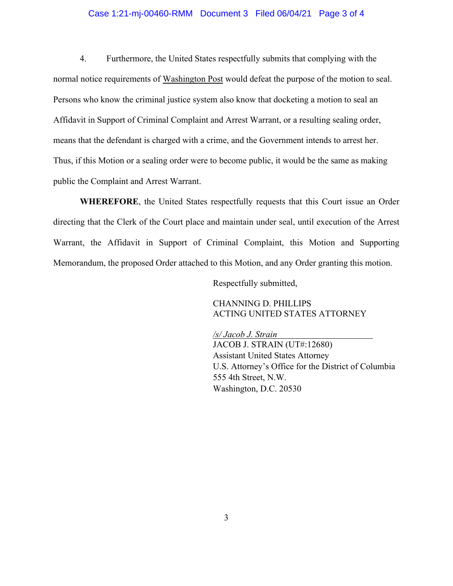#### Case 1:21-mj-00460-RMM Document 3 Filed 06/04/21 Page 3 of 4

4. Furthermore, the United States respectfully submits that complying with the normal notice requirements of Washington Post would defeat the purpose of the motion to seal. Persons who know the criminal justice system also know that docketing a motion to seal an Affidavit in Support of Criminal Complaint and Arrest Warrant, or a resulting sealing order, means that the defendant is charged with a crime, and the Government intends to arrest her. Thus, if this Motion or a sealing order were to become public, it would be the same as making public the Complaint and Arrest Warrant.

**WHEREFORE**, the United States respectfully requests that this Court issue an Order directing that the Clerk of the Court place and maintain under seal, until execution of the Arrest Warrant, the Affidavit in Support of Criminal Complaint, this Motion and Supporting Memorandum, the proposed Order attached to this Motion, and any Order granting this motion.

Respectfully submitted,

CHANNING D. PHILLIPS ACTING UNITED STATES ATTORNEY

*/s/ Jacob J. Strain* JACOB J. STRAIN (UT#:12680) Assistant United States Attorney U.S. Attorney's Office for the District of Columbia 555 4th Street, N.W. Washington, D.C. 20530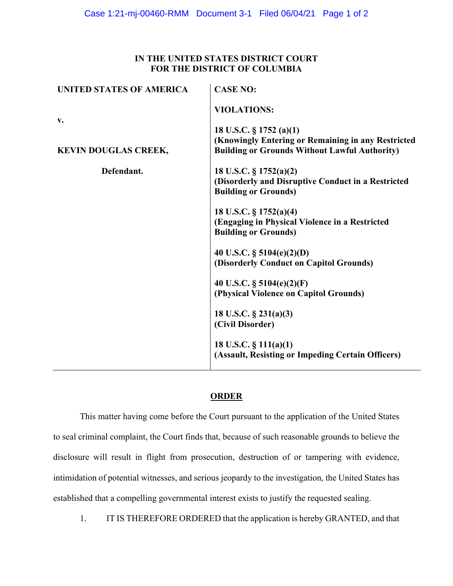### **IN THE UNITED STATES DISTRICT COURT FOR THE DISTRICT OF COLUMBIA**

| <b>UNITED STATES OF AMERICA</b> | <b>CASE NO:</b>                                                               |
|---------------------------------|-------------------------------------------------------------------------------|
|                                 | <b>VIOLATIONS:</b>                                                            |
| $\mathbf{v}$ .                  |                                                                               |
|                                 | 18 U.S.C. § 1752 (a)(1)<br>(Knowingly Entering or Remaining in any Restricted |
| <b>KEVIN DOUGLAS CREEK,</b>     | <b>Building or Grounds Without Lawful Authority)</b>                          |
| Defendant.                      | 18 U.S.C. $\S 1752(a)(2)$                                                     |
|                                 | (Disorderly and Disruptive Conduct in a Restricted                            |
|                                 | <b>Building or Grounds)</b>                                                   |
|                                 | 18 U.S.C. § 1752(a)(4)                                                        |
|                                 | (Engaging in Physical Violence in a Restricted                                |
|                                 | <b>Building or Grounds)</b>                                                   |
|                                 | 40 U.S.C. § 5104(e)(2)(D)                                                     |
|                                 | (Disorderly Conduct on Capitol Grounds)                                       |
|                                 | 40 U.S.C. $\S$ 5104(e)(2)(F)                                                  |
|                                 | (Physical Violence on Capitol Grounds)                                        |
|                                 | 18 U.S.C. § 231(a)(3)                                                         |
|                                 | (Civil Disorder)                                                              |
|                                 | 18 U.S.C. $\S$ 111(a)(1)                                                      |
|                                 | (Assault, Resisting or Impeding Certain Officers)                             |
|                                 |                                                                               |

## **ORDER**

This matter having come before the Court pursuant to the application of the United States to seal criminal complaint, the Court finds that, because of such reasonable grounds to believe the disclosure will result in flight from prosecution, destruction of or tampering with evidence, intimidation of potential witnesses, and serious jeopardy to the investigation, the United States has established that a compelling governmental interest exists to justify the requested sealing.

1. IT IS THEREFORE ORDERED that the application is hereby GRANTED, and that